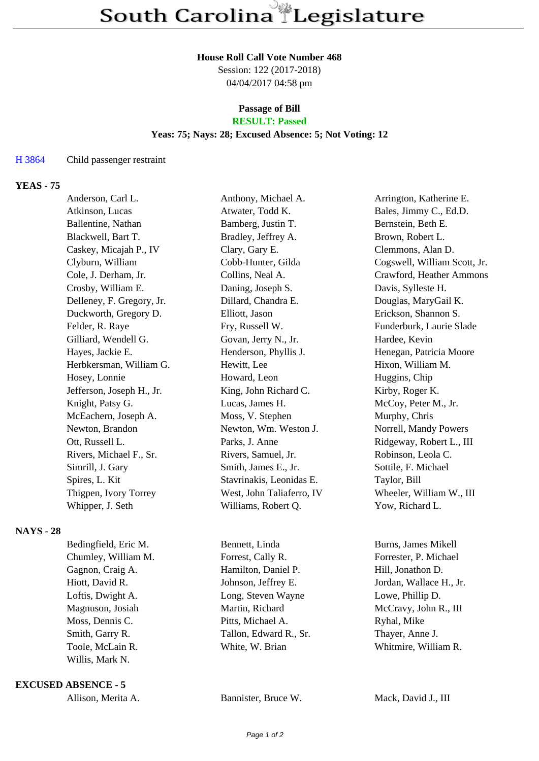#### **House Roll Call Vote Number 468**

Session: 122 (2017-2018) 04/04/2017 04:58 pm

#### **Passage of Bill RESULT: Passed**

#### **Yeas: 75; Nays: 28; Excused Absence: 5; Not Voting: 12**

## H 3864 Child passenger restraint

# **YEAS - 75**

| Anderson, Carl L.         | Anthony, Michael A.       | Arrington, Katherine E.      |
|---------------------------|---------------------------|------------------------------|
| Atkinson, Lucas           | Atwater, Todd K.          | Bales, Jimmy C., Ed.D.       |
| Ballentine, Nathan        | Bamberg, Justin T.        | Bernstein, Beth E.           |
| Blackwell, Bart T.        | Bradley, Jeffrey A.       | Brown, Robert L.             |
| Caskey, Micajah P., IV    | Clary, Gary E.            | Clemmons, Alan D.            |
| Clyburn, William          | Cobb-Hunter, Gilda        | Cogswell, William Scott, Jr. |
| Cole, J. Derham, Jr.      | Collins, Neal A.          | Crawford, Heather Ammons     |
| Crosby, William E.        | Daning, Joseph S.         | Davis, Sylleste H.           |
| Delleney, F. Gregory, Jr. | Dillard, Chandra E.       | Douglas, MaryGail K.         |
| Duckworth, Gregory D.     | Elliott, Jason            | Erickson, Shannon S.         |
| Felder, R. Raye           | Fry, Russell W.           | Funderburk, Laurie Slade     |
| Gilliard, Wendell G.      | Govan, Jerry N., Jr.      | Hardee, Kevin                |
| Hayes, Jackie E.          | Henderson, Phyllis J.     | Henegan, Patricia Moore      |
| Herbkersman, William G.   | Hewitt, Lee               | Hixon, William M.            |
| Hosey, Lonnie             | Howard, Leon              | Huggins, Chip                |
| Jefferson, Joseph H., Jr. | King, John Richard C.     | Kirby, Roger K.              |
| Knight, Patsy G.          | Lucas, James H.           | McCoy, Peter M., Jr.         |
| McEachern, Joseph A.      | Moss, V. Stephen          | Murphy, Chris                |
| Newton, Brandon           | Newton, Wm. Weston J.     | Norrell, Mandy Powers        |
| Ott, Russell L.           | Parks, J. Anne            | Ridgeway, Robert L., III     |
| Rivers, Michael F., Sr.   | Rivers, Samuel, Jr.       | Robinson, Leola C.           |
| Simrill, J. Gary          | Smith, James E., Jr.      | Sottile, F. Michael          |
| Spires, L. Kit            | Stavrinakis, Leonidas E.  | Taylor, Bill                 |
| Thigpen, Ivory Torrey     | West, John Taliaferro, IV | Wheeler, William W., III     |
| Whipper, J. Seth          | Williams, Robert Q.       | Yow, Richard L.              |
|                           |                           |                              |

## **NAYS - 28**

| Bedingfield, Eric M. | Bennett, Linda         | Burns, James Mikell     |
|----------------------|------------------------|-------------------------|
| Chumley, William M.  | Forrest, Cally R.      | Forrester, P. Michael   |
| Gagnon, Craig A.     | Hamilton, Daniel P.    | Hill, Jonathon D.       |
| Hiott, David R.      | Johnson, Jeffrey E.    | Jordan, Wallace H., Jr. |
| Loftis, Dwight A.    | Long, Steven Wayne     | Lowe, Phillip D.        |
| Magnuson, Josiah     | Martin, Richard        | McCravy, John R., III   |
| Moss, Dennis C.      | Pitts, Michael A.      | Ryhal, Mike             |
| Smith, Garry R.      | Tallon, Edward R., Sr. | Thayer, Anne J.         |
| Toole, McLain R.     | White, W. Brian        | Whitmire, William R.    |
| Willis, Mark N.      |                        |                         |
|                      |                        |                         |

**EXCUSED ABSENCE - 5**

Allison, Merita A. Bannister, Bruce W. Mack, David J., III